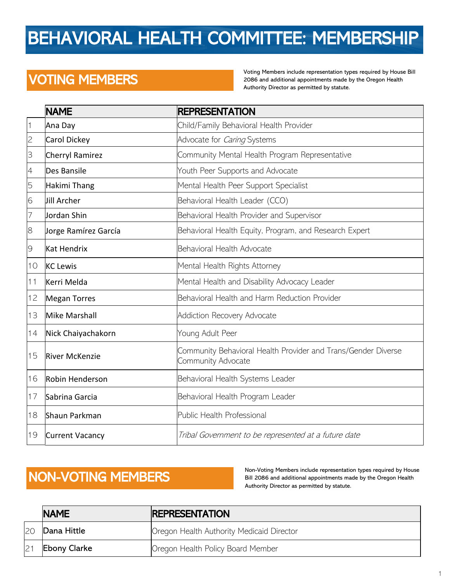# BEHAVIORAL HEALTH COMMITTEE: MEMBERSHIP

## VOTING MEMBERS

Voting Members include representation types required by House Bill 2086 and additional appointments made by the Oregon Health Authority Director as permitted by statute.

|                         | <b>NAME</b>            | <b>REPRESENTATION</b>                                                               |
|-------------------------|------------------------|-------------------------------------------------------------------------------------|
| $\uparrow$              | Ana Day                | Child/Family Behavioral Health Provider                                             |
| $\overline{c}$          | Carol Dickey           | Advocate for Caring Systems                                                         |
| $\overline{\mathbf{3}}$ | <b>Cherryl Ramirez</b> | Community Mental Health Program Representative                                      |
| $\overline{4}$          | Des Bansile            | Youth Peer Supports and Advocate                                                    |
| 5                       | Hakimi Thang           | Mental Health Peer Support Specialist                                               |
| 6                       | Jill Archer            | Behavioral Health Leader (CCO)                                                      |
| $\overline{7}$          | Jordan Shin            | Behavioral Health Provider and Supervisor                                           |
| 8                       | Jorge Ramírez García   | Behavioral Health Equity, Program, and Research Expert                              |
| $\Theta$                | Kat Hendrix            | Behavioral Health Advocate                                                          |
| 10                      | <b>KC Lewis</b>        | Mental Health Rights Attorney                                                       |
| 11                      | Kerri Melda            | Mental Health and Disability Advocacy Leader                                        |
| 12                      | <b>Megan Torres</b>    | Behavioral Health and Harm Reduction Provider                                       |
| 13                      | Mike Marshall          | Addiction Recovery Advocate                                                         |
| 14                      | Nick Chaiyachakorn     | Young Adult Peer                                                                    |
| 15                      | <b>River McKenzie</b>  | Community Behavioral Health Provider and Trans/Gender Diverse<br>Community Advocate |
| 16                      | Robin Henderson        | Behavioral Health Systems Leader                                                    |
| 17                      | Sabrina Garcia         | Behavioral Health Program Leader                                                    |
| 18                      | Shaun Parkman          | Public Health Professional                                                          |
| 19                      | <b>Current Vacancy</b> | Tribal Government to be represented at a future date                                |

### NON-VOTING MEMBERS

Non-Voting Members include representation types required by House Bill 2086 and additional appointments made by the Oregon Health Authority Director as permitted by statute.

|    | <b>NAME</b>         | <b>IREPRESENTATION</b>                    |
|----|---------------------|-------------------------------------------|
| 20 | Dana Hittle         | Oregon Health Authority Medicaid Director |
| 21 | <b>Ebony Clarke</b> | Oregon Health Policy Board Member         |